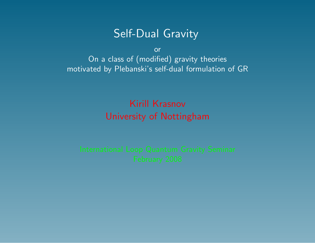# Self-Dual Gravity

or On a class of (modified) gravity theories motivated by Plebanski's self-dual formulation of GR

# Kirill Krasnov University of Nottingham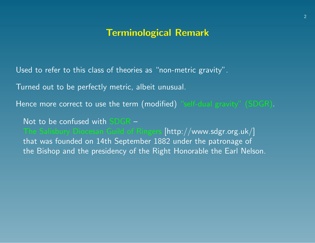#### Terminological Remark

Used to refer to this class of theories as "non-metric gravity".

Turned out to be perfectly metric, albeit unusual.

Hence more correct to use the term (modified) "self-dual gravity" (SDGR).

Not to be confused with SDGR –

The Salisbury Diocesan Guild of Ringers [http://www.sdgr.org.uk/] that was founded on 14th September 1882 under the patronage of the Bishop and the presidency of the Right Honorable the Earl Nelson.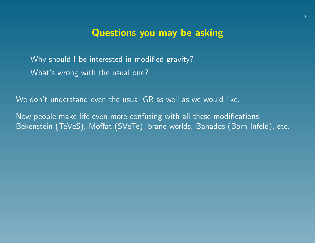#### Questions you may be asking

Why should I be interested in modified gravity? What's wrong with the usual one?

We don't understand even the usual GR as well as we would like.

Now people make life even more confusing with all these modifications: Bekenstein (TeVeS), Moffat (SVeTe), brane worlds, Banados (Born-Infeld), etc.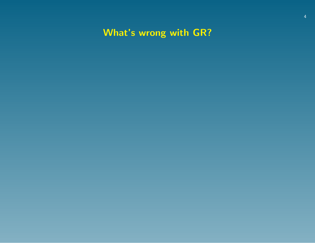What's wrong with GR?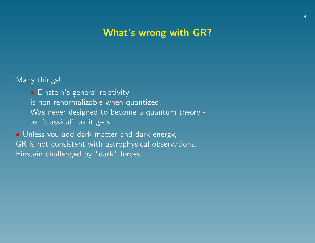# What's wrong with GR?

Many things!

• Einstein's general relativity is non-renormalizable when quantized. Was never designed to become a quantum theory as "classical" as it gets.

• Unless you add dark matter and dark energy, GR is not consistent with astrophysical observations. Einstein challenged by "dark" forces.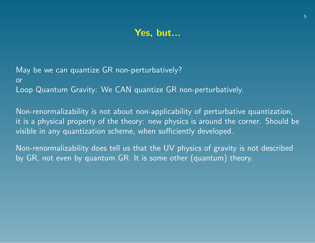## Yes, but...

May be we can quantize GR non-perturbatively? or Loop Quantum Gravity: We CAN quantize GR non-perturbatively.

Non-renormalizability is not about non-applicability of perturbative quantization, it is a physical property of the theory: new physics is around the corner. Should be visible in any quantization scheme, when sufficiently developed.

Non-renormalizability does tell us that the UV physics of gravity is not described by GR, not even by quantum GR. It is some other (quantum) theory.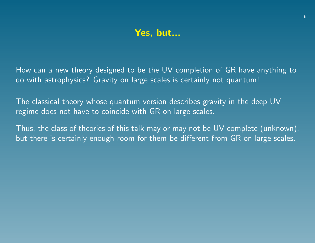## Yes, but...

How can a new theory designed to be the UV completion of GR have anything to do with astrophysics? Gravity on large scales is certainly not quantum!

The classical theory whose quantum version describes gravity in the deep UV regime does not have to coincide with GR on large scales.

Thus, the class of theories of this talk may or may not be UV complete (unknown), but there is certainly enough room for them be different from GR on large scales.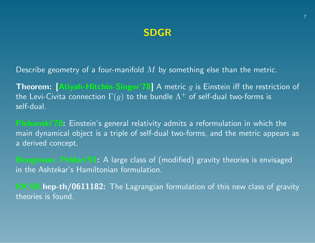# SDGR

Describe geometry of a four-manifold  $M$  by something else than the metric.

**Theorem:** [Atiyah-Hitchin-Singer'78] A metric g is Einstein iff the restriction of the Levi-Civita connection  $\Gamma(g)$  to the bundle  $\Lambda^+$  of self-dual two-forms is self-dual.

Plebanski'78: Einstein's general relativity admits a reformulation in which the main dynamical object is a triple of self-dual two-forms, and the metric appears as a derived concept.

Bengtsson, Peldan'91: A large class of (modified) gravity theories is envisaged in the Ashtekar's Hamiltonian formulation.

KK'<sup>06</sup> hep-th/0611182: The Lagrangian formulation of this new class of gravity theories is found.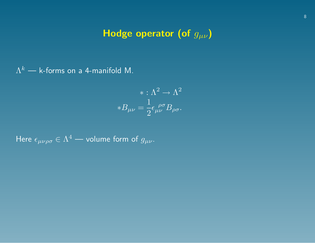# Hodge operator (of  $g_{\mu\nu}$ )

 $\Lambda^k$  — k-forms on a 4-manifold M.

<span id="page-8-0"></span>
$$
* : \Lambda^2 \to \Lambda^2
$$

$$
*B_{\mu\nu} = \frac{1}{2} \epsilon_{\mu\nu}^{\ \rho\sigma} B_{\rho\sigma}.
$$

Here  $\epsilon_{\mu\nu\rho\sigma} \in \Lambda^4$  — volume form of  $g_{\mu\nu}$ .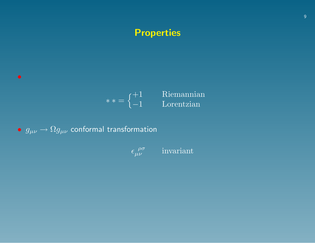# **Properties**



•  $g_{\mu\nu} \rightarrow \Omega g_{\mu\nu}$  conformal transformation

 $\bullet$ 

$$
\epsilon_{\mu\nu}^{\ \ \rho\sigma} \qquad \text{invariant}
$$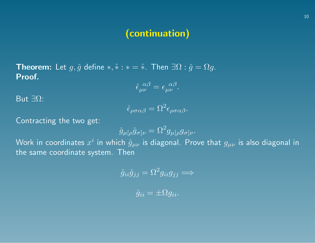**Theorem:** Let  $g, \hat{g}$  define  $*, \hat{*} : * = \hat{*}$ . Then  $\exists \Omega : \hat{g} = \Omega g$ . Proof.

$$
\hat{\epsilon}_{\mu\nu}^{\ \alpha\beta} = \epsilon_{\mu\nu}^{\ \alpha\beta}.
$$

But  $\exists\Omega$ :

$$
\hat{\epsilon}_{\rho\sigma\alpha\beta} = \Omega^2 \epsilon_{\rho\sigma\alpha\beta}.
$$

Contracting the two get:

$$
\hat{g}_{\mu[\rho}\hat{g}_{\sigma]\nu} = \Omega^2 g_{\mu[\rho}g_{\sigma]\nu}.
$$

Work in coordinates  $x^i$  in which  $\hat{g}_{\mu\nu}$  is diagonal. Prove that  $g_{\mu\nu}$  is also diagonal in the same coordinate system. Then

$$
\hat{g}_{ii}\hat{g}_{jj} = \Omega^2 g_{ii}g_{jj} \Longrightarrow
$$

$$
\hat{g}_{ii} = \pm \Omega g_{ii}.
$$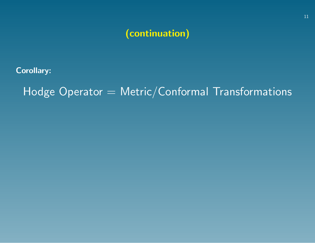Corollary:

Hodge Operator = Metric/Conformal Transformations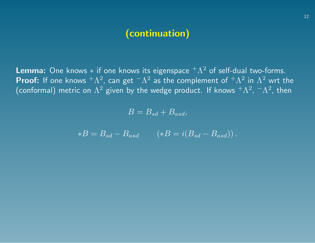**Lemma:** One knows  $*$  if one knows its eigenspace  ${}^+ \Lambda^2$  of self-dual two-forms. **Proof:** If one knows  ${}^+\Lambda^2$ , can get  ${}^-\Lambda^2$  as the complement of  ${}^+\Lambda^2$  in  $\Lambda^2$  wrt the (conformal) metric on  $\Lambda^2$  given by the wedge product. If knows  $^+\Lambda^2$ ,  $^-\Lambda^2$ , then

 $B = B_{sd} + B_{asd},$ 

$$
*B = B_{sd} - B_{asd} \qquad (*B = i(B_{sd} - B_{asd})).
$$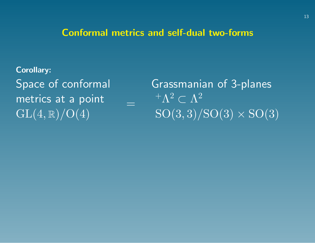#### Conformal metrics and self-dual two-forms

=

Corollary: Space of conformal metrics at a point  $GL(4,\mathbb{R})/O(4)$ 

Grassmanian of 3-planes  ${}^+\Lambda^2 \subset \Lambda^2$  $\overline{\mathrm{SO}(3,3)/\mathrm{SO}(3)\times \mathrm{SO}(3)}$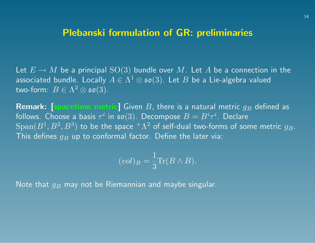#### Plebanski formulation of GR: preliminaries

Let  $E \to M$  be a principal  ${\rm SO}(3)$  bundle over  $M$ . Let  $A$  be a connection in the associated bundle. Locally  $A\in\Lambda^1\otimes\mathfrak{so}(3).$  Let  $B$  be a Lie-algebra valued two-form:  $B\in \Lambda^2\otimes\mathfrak{so}(3).$ 

Remark: [spacetime metric] Given  $B$ , there is a natural metric  $g_B$  defined as follows. Choose a basis  $\tau^i$  in  $\mathfrak{so}(3)$ . Decompose  $B=B^i\tau^i.$  Declare  $\mathrm{Span}(B^1,B^2,B^3)$  to be the space  $^+\Lambda^2$  of self-dual two-forms of some metric  $g_B.$ This defines  $g_B$  up to conformal factor. Define the later via:

$$
(vol)_B = \frac{1}{3}\text{Tr}(B \wedge B).
$$

Note that  $g_B$  may not be Riemannian and maybe singular.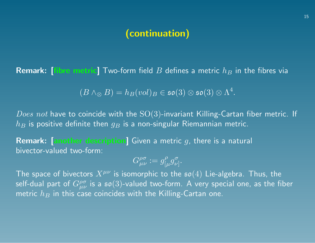**Remark:** [fibre metric] Two-form field B defines a metric  $h_B$  in the fibres via

$$
(B \wedge_{\otimes} B) = h_B(vol)_B \in \mathfrak{so}(3) \otimes \mathfrak{so}(3) \otimes \Lambda^4.
$$

*Does not* have to coincide with the  $SO(3)$ -invariant Killing-Cartan fiber metric. If  $h_B$  is positive definite then  $g_B$  is a non-singular Riemannian metric.

**Remark:** [another description] Given a metric  $g$ , there is a natural bivector-valued two-form:

$$
G_{\mu\nu}^{\rho\sigma} := g_{\lbrack\mu}^{\rho} g_{\nu]}^{\sigma}.
$$

The space of bivectors  $X^{\mu\nu}$  is isomorphic to the  $\mathfrak{so}(4)$  Lie-algebra. Thus, the self-dual part of  $G_{\mu\nu}^{\rho\sigma}$  is a  $\mathfrak{so}(3)$ -valued two-form. A very special one, as the fiber metric  $h_B$  in this case coincides with the Killing-Cartan one.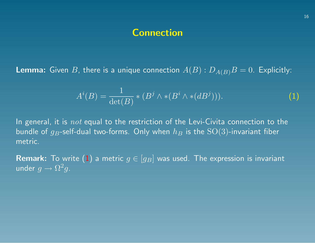#### **Connection**

**Lemma:** Given B, there is a unique connection  $A(B)$ :  $D_{A(B)}B = 0$ . Explicitly:

$$
Ai(B) = \frac{1}{\det(B)} * (Bj \wedge * (Bi \wedge * (dBj))).
$$
 (1)

In general, it is  $not$  equal to the restriction of the Levi-Civita connection to the bundle of  $g_B$ -self-dual two-forms. Only when  $h_B$  is the  $\mathrm{SO}(3)$ -invariant fiber metric.

**Remark:** To write [\(1\)](#page-8-0) a metric  $g \in [g_B]$  was used. The expression is invariant under  $g \to \Omega^2 g$ .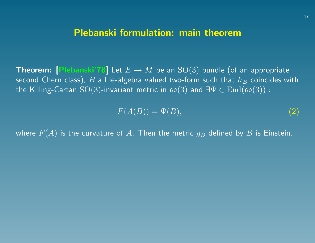#### Plebanski formulation: main theorem

**Theorem:** [Plebanski'78] Let  $E \to M$  be an  $SO(3)$  bundle (of an appropriate second Chern class),  $B$  a Lie-algebra valued two-form such that  $h_B$  coincides with the Killing-Cartan SO(3)-invariant metric in  $\mathfrak{so}(3)$  and  $\exists \Psi \in \mathrm{End}(\mathfrak{so}(3))$ :

<span id="page-17-0"></span>
$$
F(A(B)) = \Psi(B),\tag{2}
$$

where  $F(A)$  is the curvature of A. Then the metric  $g_B$  defined by B is Einstein.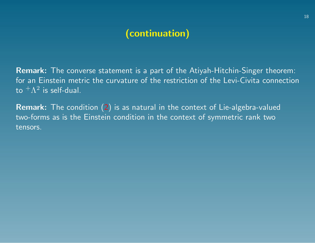Remark: The converse statement is a part of the Atiyah-Hitchin-Singer theorem: for an Einstein metric the curvature of the restriction of the Levi-Civita connection to  $^+\Lambda^2$  is self-dual.

Remark: The condition [\(2\)](#page-17-0) is as natural in the context of Lie-algebra-valued two-forms as is the Einstein condition in the context of symmetric rank two tensors.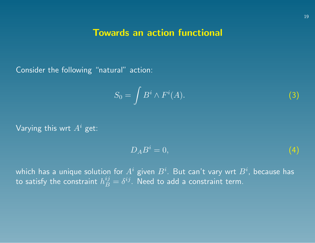#### Towards an action functional

Consider the following "natural" action:

$$
S_0 = \int B^i \wedge F^i(A). \tag{3}
$$

Varying this wrt  $A^i$  get:

$$
D_A B^i = 0,\t\t(4)
$$

which has a unique solution for  $A^i$  given  $B^i.$  But can't vary wrt  $B^i$ , because has to satisfy the constraint  $h^{ij}_B=\delta^{ij}.$  Need to add a constraint term.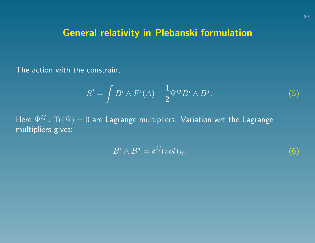# General relativity in Plebanski formulation

The action with the constraint:

$$
S' = \int B^i \wedge F^i(A) - \frac{1}{2} \Psi^{ij} B^i \wedge B^j. \tag{5}
$$

Here  $\Psi^{ij}$ :  $\text{Tr}(\Psi) = 0$  are Lagrange multipliers. Variation wrt the Lagrange multipliers gives:

$$
B^i \wedge B^j = \delta^{ij}(vol)_B. \tag{6}
$$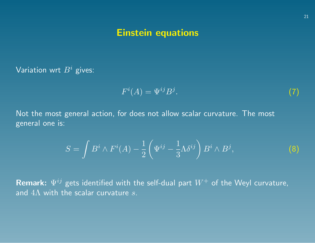## Einstein equations

Variation wrt  $B^i$  gives:

$$
F^i(A) = \Psi^{ij} B^j. \tag{7}
$$

Not the most general action, for does not allow scalar curvature. The most general one is:

<span id="page-21-0"></span>
$$
S = \int B^i \wedge F^i(A) - \frac{1}{2} \left( \Psi^{ij} - \frac{1}{3} \Lambda \delta^{ij} \right) B^i \wedge B^j, \tag{8}
$$

**Remark:**  $\Psi^{ij}$  gets identified with the self-dual part  $W^{+}$  of the Weyl curvature, and  $4\Lambda$  with the scalar curvature s.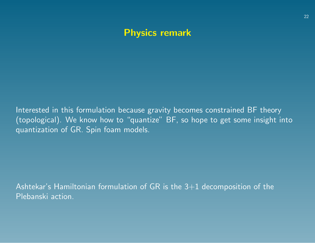# Physics remark

Interested in this formulation because gravity becomes constrained BF theory (topological). We know how to "quantize" BF, so hope to get some insight into quantization of GR. Spin foam models.

Ashtekar's Hamiltonian formulation of GR is the  $3+1$  decomposition of the Plebanski action.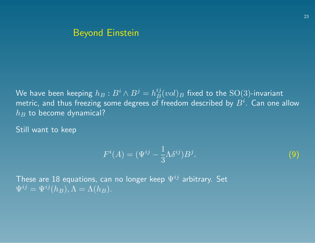# Beyond Einstein

We have been keeping  $h_B : B^i \wedge B^j = h_B^{ij} (vol)_B$  fixed to the  $\mathrm{SO}(3)$ -invariant metric, and thus freezing some degrees of freedom described by  $B^i.$  Can one allow  $h_B$  to become dynamical?

Still want to keep

$$
F^{i}(A) = (\Psi^{ij} - \frac{1}{3}\Lambda \delta^{ij})B^{j}.
$$
 (9)

These are 18 equations, can no longer keep  $\Psi^{ij}$  arbitrary. Set  $\Psi^{ij} = \overline{\Psi^{ij}(h_B), \Lambda} = \overline{\Lambda(h_B)}.$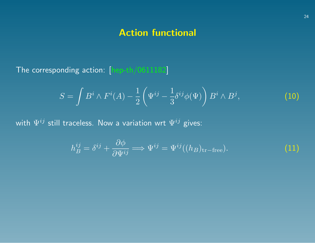# Action functional

The corresponding action: [hep-th/0611182]

<span id="page-24-0"></span>
$$
S = \int B^i \wedge F^i(A) - \frac{1}{2} \left( \Psi^{ij} - \frac{1}{3} \delta^{ij} \phi(\Psi) \right) B^i \wedge B^j, \tag{10}
$$

with  $\Psi^{ij}$  still traceless. Now a variation wrt  $\Psi^{ij}$  gives:

$$
h_B^{ij} = \delta^{ij} + \frac{\partial \phi}{\partial \Psi^{ij}} \Longrightarrow \Psi^{ij} = \Psi^{ij}((h_B)_{\text{tr-free}}). \tag{11}
$$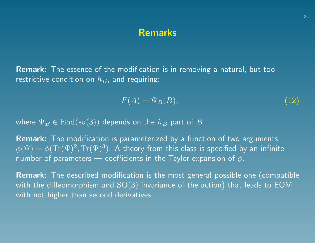#### Remarks

Remark: The essence of the modification is in removing a natural, but too restrictive condition on  $h_B$ , and requiring:

$$
F(A) = \Psi_B(B),\tag{12}
$$

where  $\Psi_B \in \text{End}(\mathfrak{so}(3))$  depends on the  $h_B$  part of  $B$ .

**Remark:** The modification is parameterized by a function of two arguments  $\phi(\Psi)=\phi(\text{Tr}(\Psi)^2,\text{Tr}(\Psi)^3).$  A theory from this class is specified by an infinite number of parameters — coefficients in the Taylor expansion of  $\phi$ .

Remark: The described modification is the most general possible one (compatible with the diffeomorphism and  $SO(3)$  invariance of the action) that leads to EOM with not higher than second derivatives.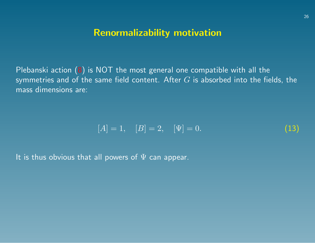## Renormalizability motivation

Plebanski action [\(8\)](#page-21-0) is NOT the most general one compatible with all the symmetries and of the same field content. After  $G$  is absorbed into the fields, the mass dimensions are:

$$
[A] = 1, \quad [B] = 2, \quad [\Psi] = 0. \tag{13}
$$

It is thus obvious that all powers of  $\Psi$  can appear.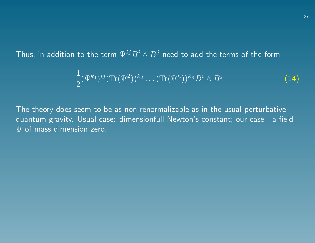Thus, in addition to the term  $\Psi^{ij}B^i\wedge B^j$  need to add the terms of the form

$$
\frac{1}{2}(\Psi^{k_1})^{ij}(\text{Tr}(\Psi^2))^{k_2}\dots(\text{Tr}(\Psi^n))^{k_n}B^i \wedge B^j \qquad (14)
$$

The theory does seem to be as non-renormalizable as in the usual perturbative quantum gravity. Usual case: dimensionfull Newton's constant; our case - a field  $\Psi$  of mass dimension zero.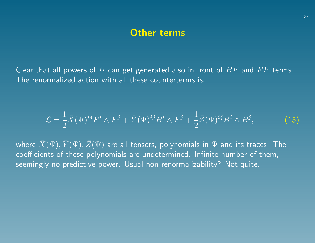#### Other terms

Clear that all powers of  $\Psi$  can get generated also in front of  $BF$  and  $FF$  terms. The renormalized action with all these counterterms is:

$$
\mathcal{L} = \frac{1}{2}\bar{X}(\Psi)^{ij}F^i \wedge F^j + \bar{Y}(\Psi)^{ij}B^i \wedge F^j + \frac{1}{2}\bar{Z}(\Psi)^{ij}B^i \wedge B^j, \tag{15}
$$

where  $\bar{X}(\Psi),\bar{Y}(\Psi),\bar{Z}(\Psi)$  are all tensors, polynomials in  $\Psi$  and its traces. The coefficients of these polynomials are undetermined. Infinite number of them, seemingly no predictive power. Usual non-renormalizability? Not quite.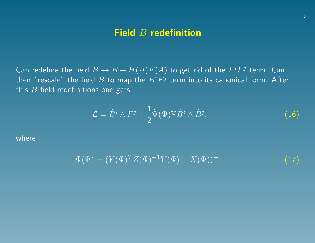#### Field B redefinition

Can redefine the field  $B \to B + H(\Psi) F(A)$  to get rid of the  $F^i F^j$  term. Can then "rescale" the field  $B$  to map the  $B^iF^j$  term into its canonical form. After this  $B$  field redefinitions one gets

$$
\mathcal{L} = \tilde{B}^i \wedge F^j + \frac{1}{2} \tilde{\Psi}(\Psi)^{ij} \tilde{B}^i \wedge \tilde{B}^j, \tag{16}
$$

where

$$
\tilde{\Psi}(\Psi) = (Y(\Psi)^T Z(\Psi)^{-1} Y(\Psi) - X(\Psi))^{-1}.
$$
\n(17)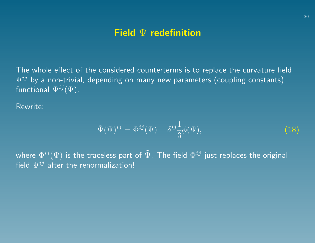# Field Ψ redefinition

The whole effect of the considered counterterms is to replace the curvature field  $\ket{\Psi^{ij}}$  by a non-trivial, depending on many new parameters (coupling constants) functional  $\tilde{\Psi}^{ij}(\Psi)$ .

Rewrite:

$$
\tilde{\Psi}(\Psi)^{ij} = \Phi^{ij}(\Psi) - \delta^{ij}\frac{1}{3}\phi(\Psi),\tag{18}
$$

where  $\Phi^{ij}(\Psi)$  is the traceless part of  $\tilde{\Psi}.$  The field  $\Phi^{ij}$  just replaces the original field  $\Psi^{ij}$  after the renormalization!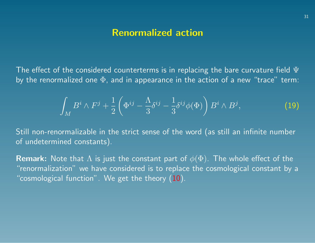#### Renormalized action

The effect of the considered counterterms is in replacing the bare curvature field  $\Psi$ by the renormalized one  $\Phi$ , and in appearance in the action of a new "trace" term:

$$
\int_M B^i \wedge F^j + \frac{1}{2} \left( \Phi^{ij} - \frac{\Lambda}{3} \delta^{ij} - \frac{1}{3} \delta^{ij} \phi(\Phi) \right) B^i \wedge B^j, \tag{19}
$$

Still non-renormalizable in the strict sense of the word (as still an infinite number of undetermined constants).

**Remark:** Note that  $\Lambda$  is just the constant part of  $\phi(\Phi)$ . The whole effect of the "renormalization" we have considered is to replace the cosmological constant by a "cosmological function". We get the theory  $(10)$ .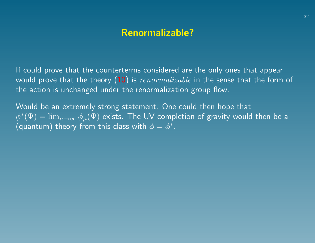# Renormalizable?

If could prove that the counterterms considered are the only ones that appear would prove that the theory  $(10)$  is  $renormalizable$  in the sense that the form of the action is unchanged under the renormalization group flow.

Would be an extremely strong statement. One could then hope that  $\phi^*(\Psi)=\lim_{\mu\to\infty}\phi_\mu(\Psi)$  exists. The UV completion of gravity would then be a (quantum) theory from this class with  $\phi = \phi^*$ .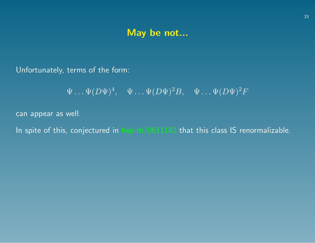## May be not...

Unfortunately, terms of the form:

 $\Psi \ldots \Psi (D \Psi)^4, \quad \Psi \ldots \Psi (D \Psi)^2 B, \quad \Psi \ldots \Psi (D \Psi)^2 F$ 

can appear as well.

In spite of this, conjectured in hep-th/0611182 that this class IS renormalizable.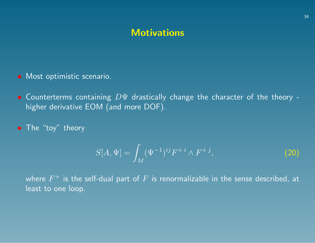## **Motivations**

- Most optimistic scenario.
- Counterterms containing DΨ drastically change the character of the theory higher derivative EOM (and more DOF).
- The "toy" theory

$$
S[A, \Psi] = \int_M (\Psi^{-1})^{ij} F^{+i} \wedge F^{+j}, \tag{20}
$$

where  $F^+$  is the self-dual part of  $F$  is renormalizable in the sense described, at least to one loop.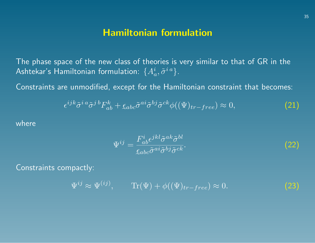## Hamiltonian formulation

The phase space of the new class of theories is very similar to that of GR in the Ashtekar's Hamiltonian formulation:  $\{A_a^i,\tilde{\sigma}^{i\,a}\}$ .

Constraints are unmodified, except for the Hamiltonian constraint that becomes:

$$
\epsilon^{ijk}\tilde{\sigma}^{i\,a}\tilde{\sigma}^{j\,b}F_{ab}^k + \xi_{abc}\tilde{\sigma}^{ai}\tilde{\sigma}^{bj}\tilde{\sigma}^{ck}\phi((\Psi)_{tr-free}) \approx 0,\tag{21}
$$

where

$$
\Psi^{ij} = \frac{F_{ab}^i \epsilon^{jkl} \tilde{\sigma}^{ak} \tilde{\sigma}^{bl}}{\xi_{abc} \tilde{\sigma}^{ai} \tilde{\sigma}^{bj} \tilde{\sigma}^{ck}}.
$$
\n(22)

Constraints compactly:

 $\Psi^{ij} \approx \Psi^{(ij)}, \qquad \text{Tr}(\Psi) + \phi((\Psi)_{tr-free}) \approx 0.$  (23)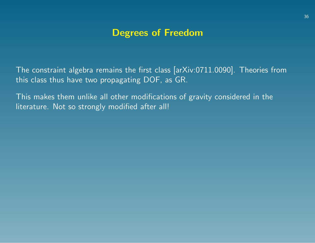# Degrees of Freedom

The constraint algebra remains the first class [arXiv:0711.0090]. Theories from this class thus have two propagating DOF, as GR.

This makes them unlike all other modifications of gravity considered in the literature. Not so strongly modified after all!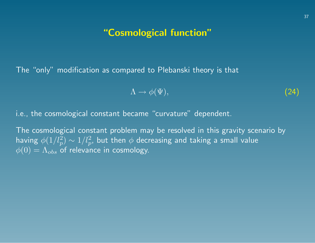# "Cosmological function"

The "only" modification as compared to Plebanski theory is that

$$
\Lambda \to \phi(\Psi), \tag{24}
$$

i.e., the cosmological constant became "curvature" dependent.

The cosmological constant problem may be resolved in this gravity scenario by having  $\phi(1/l_p^2) \sim 1/l_p^2$ , but then  $\phi$  decreasing and taking a small value  $\phi(0) = \Lambda_{obs}$  of relevance in cosmology.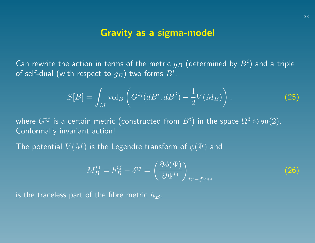## Gravity as a sigma-model

Can rewrite the action in terms of the metric  $g_B$  (determined by  $B^i)$  and a triple of self-dual (with respect to  $g_B)$  two forms  $B^i.$ 

$$
S[B] = \int_M \text{vol}_B \left( G^{ij} (dB^i, dB^j) - \frac{1}{2} V(M_B) \right),\tag{25}
$$

where  $G^{ij}$  is a certain metric (constructed from  $B^i)$  in the space  $\Omega^3\otimes\mathfrak{su}(2).$ Conformally invariant action!

The potential  $V(M)$  is the Legendre transform of  $\phi(\Psi)$  and

$$
M_B^{ij} = h_B^{ij} - \delta^{ij} = \left(\frac{\partial \phi(\Psi)}{\partial \Psi^{ij}}\right)_{tr-free}
$$

(26)

is the traceless part of the fibre metric  $h_B$ .